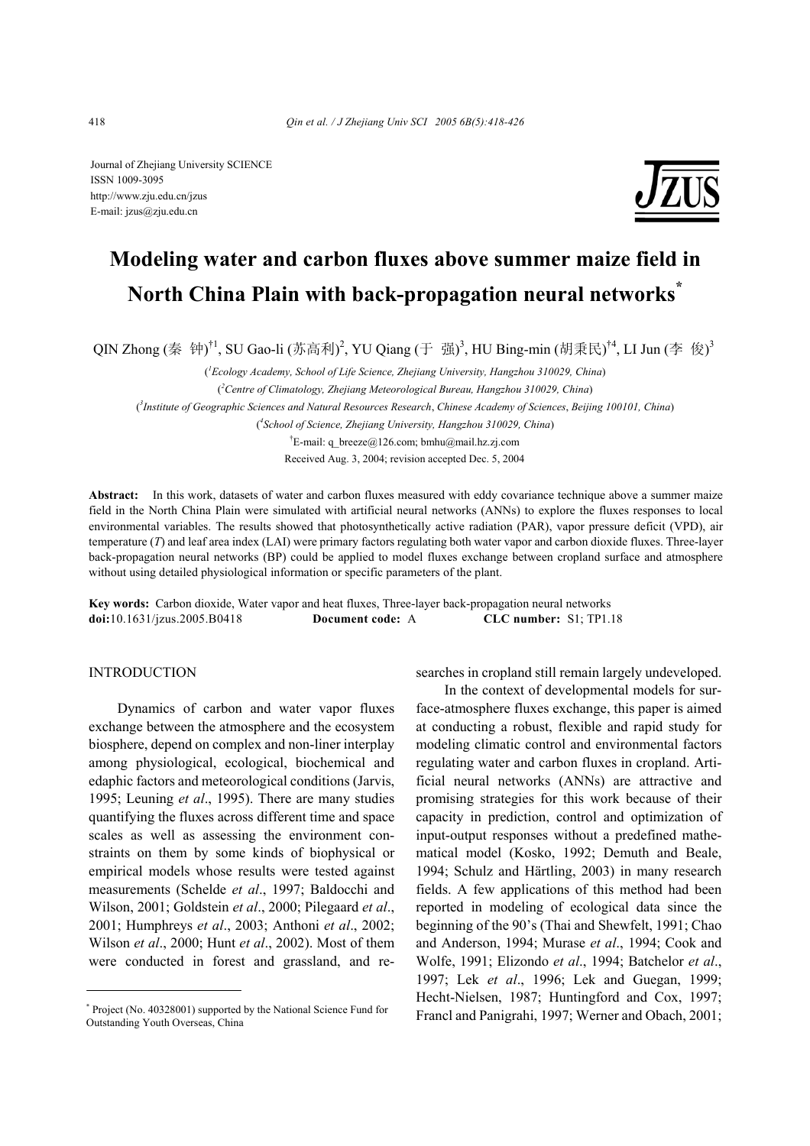Journal of Zhejiang University SCIENCE ISSN 1009-3095 http://www.zju.edu.cn/jzus E-mail: jzus@zju.edu.cn



# **Modeling water and carbon fluxes above summer maize field in North China Plain with back-propagation neural networks\***

QIN Zhong (秦 钟)<sup>†1</sup>, SU Gao-li (苏高利)<sup>2</sup>, YU Qiang (于 强)<sup>3</sup>, HU Bing-min (胡秉民)<sup>†4</sup>, LI Jun (李 俊)<sup>3</sup>

( *1 Ecology Academy, School of Life Science, Zhejiang University, Hangzhou 310029, China*) ( *2 Centre of Climatology, Zhejiang Meteorological Bureau, Hangzhou 310029, China*) ( *3 Institute of Geographic Sciences and Natural Resources Research*, *Chinese Academy of Sciences*, *Beijing 100101, China*) ( *4 School of Science, Zhejiang University, Hangzhou 310029, China*) † E-mail: q\_breeze@126.com; bmhu@mail.hz.zj.com Received Aug. 3, 2004; revision accepted Dec. 5, 2004

**Abstract:** In this work, datasets of water and carbon fluxes measured with eddy covariance technique above a summer maize field in the North China Plain were simulated with artificial neural networks (ANNs) to explore the fluxes responses to local environmental variables. The results showed that photosynthetically active radiation (PAR), vapor pressure deficit (VPD), air temperature (*T*) and leaf area index (LAI) were primary factors regulating both water vapor and carbon dioxide fluxes. Three-layer back-propagation neural networks (BP) could be applied to model fluxes exchange between cropland surface and atmosphere without using detailed physiological information or specific parameters of the plant.

**Key words:** Carbon dioxide, Water vapor and heat fluxes, Three-layer back-propagation neural networks **doi:**10.1631/jzus.2005.B0418 **Document code:** A **CLC number:** S1; TP1.18

### **INTRODUCTION**

Dynamics of carbon and water vapor fluxes exchange between the atmosphere and the ecosystem biosphere, depend on complex and non-liner interplay among physiological, ecological, biochemical and edaphic factors and meteorological conditions (Jarvis, 1995; Leuning *et al*., 1995). There are many studies quantifying the fluxes across different time and space scales as well as assessing the environment constraints on them by some kinds of biophysical or empirical models whose results were tested against measurements (Schelde *et al*., 1997; Baldocchi and Wilson, 2001; Goldstein *et al*., 2000; Pilegaard *et al*., 2001; Humphreys *et al*., 2003; Anthoni *et al*., 2002; Wilson *et al*., 2000; Hunt *et al*., 2002). Most of them were conducted in forest and grassland, and researches in cropland still remain largely undeveloped.

In the context of developmental models for surface-atmosphere fluxes exchange, this paper is aimed at conducting a robust, flexible and rapid study for modeling climatic control and environmental factors regulating water and carbon fluxes in cropland. Artificial neural networks (ANNs) are attractive and promising strategies for this work because of their capacity in prediction, control and optimization of input-output responses without a predefined mathematical model (Kosko, 1992; Demuth and Beale, 1994; Schulz and Härtling, 2003) in many research fields. A few applications of this method had been reported in modeling of ecological data since the beginning of the 90's (Thai and Shewfelt, 1991; Chao and Anderson, 1994; Murase *et al*., 1994; Cook and Wolfe, 1991; Elizondo *et al*., 1994; Batchelor *et al*., 1997; Lek *et al*., 1996; Lek and Guegan, 1999; Hecht-Nielsen, 1987; Huntingford and Cox, 1997; Francl and Panigrahi, 1997; Werner and Obach, 2001;

<sup>\*</sup> Project (No. 40328001) supported by the National Science Fund for Outstanding Youth Overseas, China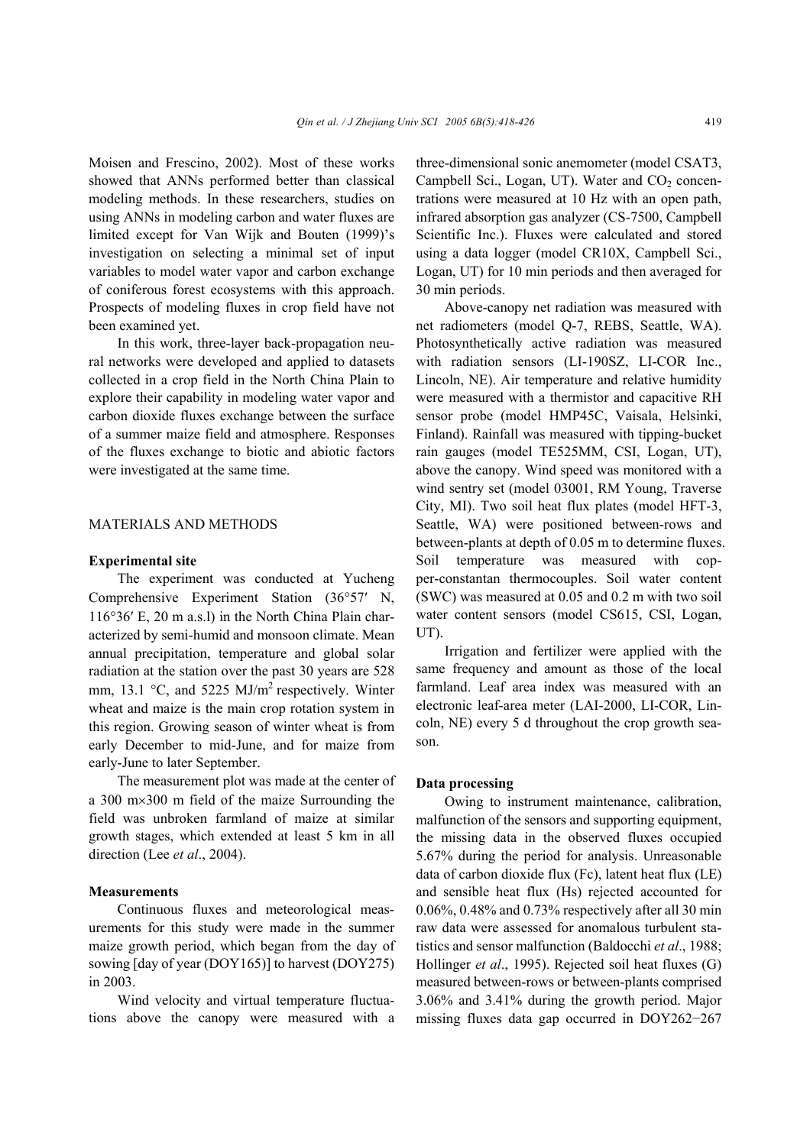Moisen and Frescino, 2002). Most of these works showed that ANNs performed better than classical modeling methods. In these researchers, studies on using ANNs in modeling carbon and water fluxes are limited except for Van Wijk and Bouten (1999)'s investigation on selecting a minimal set of input variables to model water vapor and carbon exchange of coniferous forest ecosystems with this approach. Prospects of modeling fluxes in crop field have not been examined yet.

In this work, three-layer back-propagation neural networks were developed and applied to datasets collected in a crop field in the North China Plain to explore their capability in modeling water vapor and carbon dioxide fluxes exchange between the surface of a summer maize field and atmosphere. Responses of the fluxes exchange to biotic and abiotic factors were investigated at the same time.

## MATERIALS AND METHODS

#### **Experimental site**

The experiment was conducted at Yucheng Comprehensive Experiment Station (36°57′ N, 116°36′ E, 20 m a.s.l) in the North China Plain characterized by semi-humid and monsoon climate. Mean annual precipitation, temperature and global solar radiation at the station over the past 30 years are 528 mm, 13.1  $\degree$ C, and 5225 MJ/m<sup>2</sup> respectively. Winter wheat and maize is the main crop rotation system in this region. Growing season of winter wheat is from early December to mid-June, and for maize from early-June to later September.

The measurement plot was made at the center of a 300 m×300 m field of the maize Surrounding the field was unbroken farmland of maize at similar growth stages, which extended at least 5 km in all direction (Lee *et al*., 2004).

## **Measurements**

Continuous fluxes and meteorological measurements for this study were made in the summer maize growth period, which began from the day of sowing [day of year (DOY165)] to harvest (DOY275) in 2003.

Wind velocity and virtual temperature fluctuations above the canopy were measured with a three-dimensional sonic anemometer (model CSAT3, Campbell Sci., Logan, UT). Water and  $CO<sub>2</sub>$  concentrations were measured at 10 Hz with an open path, infrared absorption gas analyzer (CS-7500, Campbell Scientific Inc.). Fluxes were calculated and stored using a data logger (model CR10X, Campbell Sci., Logan, UT) for 10 min periods and then averaged for 30 min periods.

Above-canopy net radiation was measured with net radiometers (model Q-7, REBS, Seattle, WA). Photosynthetically active radiation was measured with radiation sensors (LI-190SZ, LI-COR Inc., Lincoln, NE). Air temperature and relative humidity were measured with a thermistor and capacitive RH sensor probe (model HMP45C, Vaisala, Helsinki, Finland). Rainfall was measured with tipping-bucket rain gauges (model TE525MM, CSI, Logan, UT), above the canopy. Wind speed was monitored with a wind sentry set (model 03001, RM Young, Traverse City, MI). Two soil heat flux plates (model HFT-3, Seattle, WA) were positioned between-rows and between-plants at depth of 0.05 m to determine fluxes. Soil temperature was measured with copper-constantan thermocouples. Soil water content (SWC) was measured at 0.05 and 0.2 m with two soil water content sensors (model CS615, CSI, Logan, UT).

Irrigation and fertilizer were applied with the same frequency and amount as those of the local farmland. Leaf area index was measured with an electronic leaf-area meter (LAI-2000, LI-COR, Lincoln, NE) every 5 d throughout the crop growth season.

## **Data processing**

Owing to instrument maintenance, calibration, malfunction of the sensors and supporting equipment, the missing data in the observed fluxes occupied 5.67% during the period for analysis. Unreasonable data of carbon dioxide flux (Fc), latent heat flux (LE) and sensible heat flux (Hs) rejected accounted for 0.06%, 0.48% and 0.73% respectively after all 30 min raw data were assessed for anomalous turbulent statistics and sensor malfunction (Baldocchi *et al*., 1988; Hollinger *et al*., 1995). Rejected soil heat fluxes (G) measured between-rows or between-plants comprised 3.06% and 3.41% during the growth period. Major missing fluxes data gap occurred in DOY262−267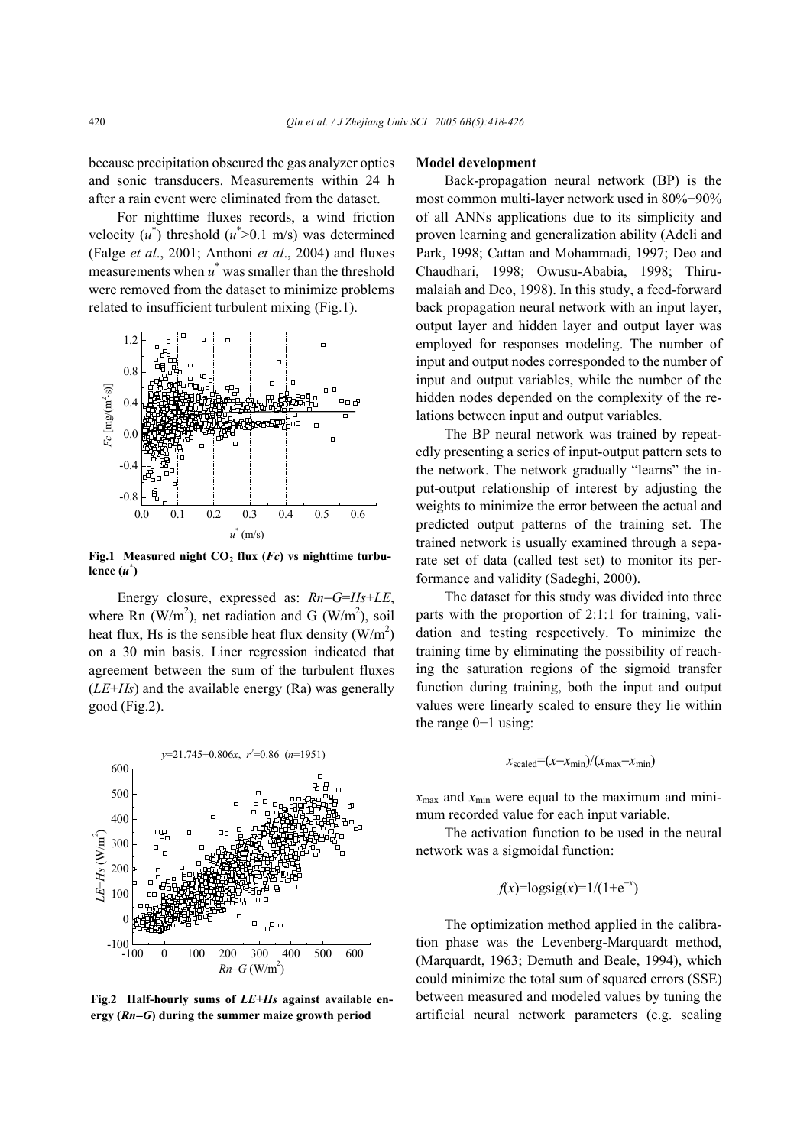because precipitation obscured the gas analyzer optics and sonic transducers. Measurements within 24 h after a rain event were eliminated from the dataset.

For nighttime fluxes records, a wind friction velocity  $(u^*)$  threshold  $(u^* > 0.1 \text{ m/s})$  was determined (Falge *et al*., 2001; Anthoni *et al*., 2004) and fluxes measurements when *u*\* was smaller than the threshold were removed from the dataset to minimize problems related to insufficient turbulent mixing (Fig.1).



Fig.1 Measured night  $CO<sub>2</sub>$  flux (*Fc*) vs nighttime turbu $l$ **ence**  $(u^*)$ 

Energy closure, expressed as: *Rn*−*G*=*Hs*+*LE*, where Rn (W/m<sup>2</sup>), net radiation and G (W/m<sup>2</sup>), soil heat flux, Hs is the sensible heat flux density  $(W/m^2)$ on a 30 min basis. Liner regression indicated that agreement between the sum of the turbulent fluxes (*LE*+*Hs*) and the available energy (Ra) was generally good (Fig.2).



**Fig.2 Half-hourly sums of** *LE***+***Hs* **against available energy (***Rn*−*G***) during the summer maize growth period** 

#### **Model development**

Back-propagation neural network (BP) is the most common multi-layer network used in 80%−90% of all ANNs applications due to its simplicity and proven learning and generalization ability (Adeli and Park, 1998; Cattan and Mohammadi, 1997; Deo and Chaudhari, 1998; Owusu-Ababia, 1998; Thirumalaiah and Deo, 1998). In this study, a feed-forward back propagation neural network with an input layer, output layer and hidden layer and output layer was employed for responses modeling. The number of input and output nodes corresponded to the number of input and output variables, while the number of the hidden nodes depended on the complexity of the relations between input and output variables.

The BP neural network was trained by repeatedly presenting a series of input-output pattern sets to the network. The network gradually "learns" the input-output relationship of interest by adjusting the weights to minimize the error between the actual and predicted output patterns of the training set. The trained network is usually examined through a separate set of data (called test set) to monitor its performance and validity (Sadeghi, 2000).

The dataset for this study was divided into three parts with the proportion of 2:1:1 for training, validation and testing respectively. To minimize the training time by eliminating the possibility of reaching the saturation regions of the sigmoid transfer function during training, both the input and output values were linearly scaled to ensure they lie within the range 0−1 using:

$$
x_{\text{scaled}} = (x - x_{\text{min}}) / (x_{\text{max}} - x_{\text{min}})
$$

 $x_{\text{max}}$  and  $x_{\text{min}}$  were equal to the maximum and minimum recorded value for each input variable.

The activation function to be used in the neural network was a sigmoidal function:

$$
f(x)=\log \frac{1}{1+e^{-x}}
$$

The optimization method applied in the calibration phase was the Levenberg-Marquardt method, (Marquardt, 1963; Demuth and Beale, 1994), which could minimize the total sum of squared errors (SSE) between measured and modeled values by tuning the artificial neural network parameters (e.g. scaling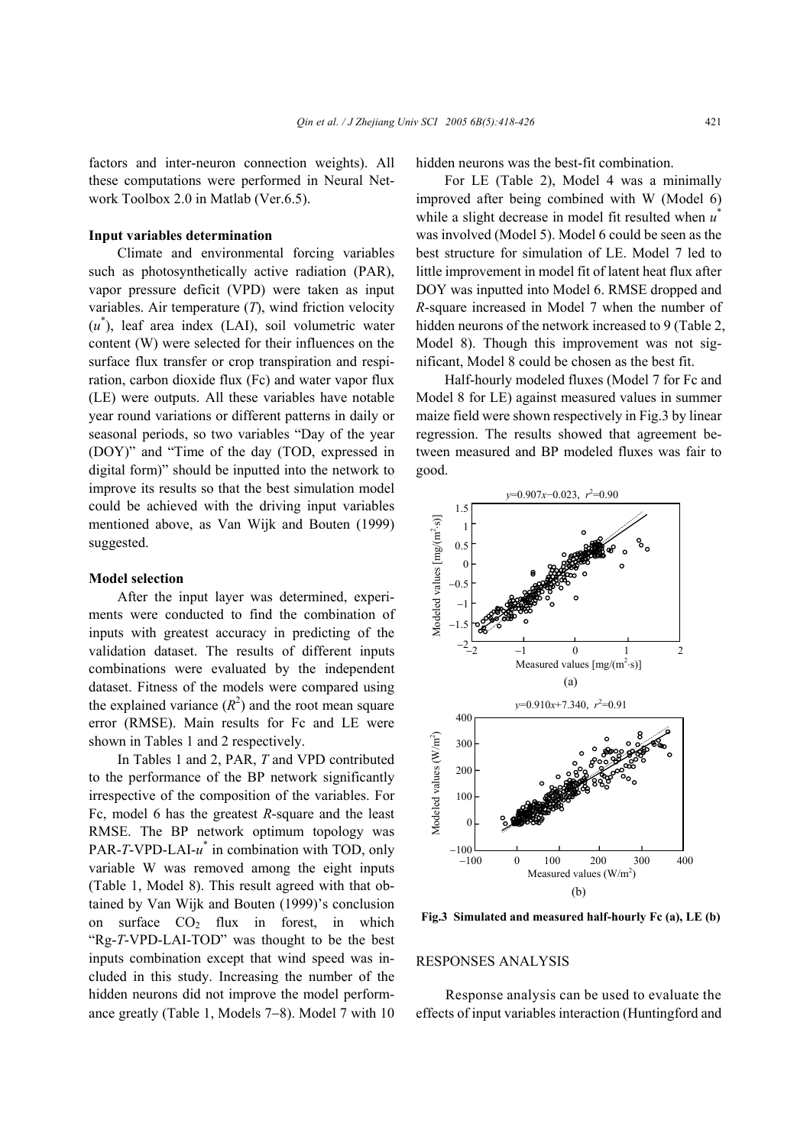factors and inter-neuron connection weights). All these computations were performed in Neural Network Toolbox 2.0 in Matlab (Ver.6.5).

## **Input variables determination**

Climate and environmental forcing variables such as photosynthetically active radiation (PAR), vapor pressure deficit (VPD) were taken as input variables. Air temperature (*T*), wind friction velocity (*u*\* ), leaf area index (LAI), soil volumetric water content (W) were selected for their influences on the surface flux transfer or crop transpiration and respiration, carbon dioxide flux (Fc) and water vapor flux (LE) were outputs. All these variables have notable year round variations or different patterns in daily or seasonal periods, so two variables "Day of the year (DOY)" and "Time of the day (TOD, expressed in digital form)" should be inputted into the network to improve its results so that the best simulation model could be achieved with the driving input variables mentioned above, as Van Wijk and Bouten (1999) suggested.

### **Model selection**

After the input layer was determined, experiments were conducted to find the combination of inputs with greatest accuracy in predicting of the validation dataset. The results of different inputs combinations were evaluated by the independent dataset. Fitness of the models were compared using the explained variance  $(R^2)$  and the root mean square error (RMSE). Main results for Fc and LE were shown in Tables 1 and 2 respectively.

In Tables 1 and 2, PAR, *T* and VPD contributed to the performance of the BP network significantly irrespective of the composition of the variables. For Fc, model 6 has the greatest *R*-square and the least RMSE. The BP network optimum topology was PAR-*T*-VPD-LAI-*u*\* in combination with TOD, only variable W was removed among the eight inputs (Table 1, Model 8). This result agreed with that obtained by Van Wijk and Bouten (1999)'s conclusion on surface  $CO<sub>2</sub>$  flux in forest, in which "Rg-*T*-VPD-LAI-TOD" was thought to be the best inputs combination except that wind speed was included in this study. Increasing the number of the hidden neurons did not improve the model performance greatly (Table 1, Models 7−8). Model 7 with 10

hidden neurons was the best-fit combination.

For LE (Table 2), Model 4 was a minimally improved after being combined with W (Model 6) while a slight decrease in model fit resulted when *u*\* was involved (Model 5). Model 6 could be seen as the best structure for simulation of LE. Model 7 led to little improvement in model fit of latent heat flux after DOY was inputted into Model 6. RMSE dropped and *R*-square increased in Model 7 when the number of hidden neurons of the network increased to 9 (Table 2, Model 8). Though this improvement was not significant, Model 8 could be chosen as the best fit.

Half-hourly modeled fluxes (Model 7 for Fc and Model 8 for LE) against measured values in summer maize field were shown respectively in Fig.3 by linear regression. The results showed that agreement between measured and BP modeled fluxes was fair to good.



**Fig.3 Simulated and measured half-hourly Fc (a), LE (b)**

## RESPONSES ANALYSIS

Response analysis can be used to evaluate the effects of input variables interaction (Huntingford and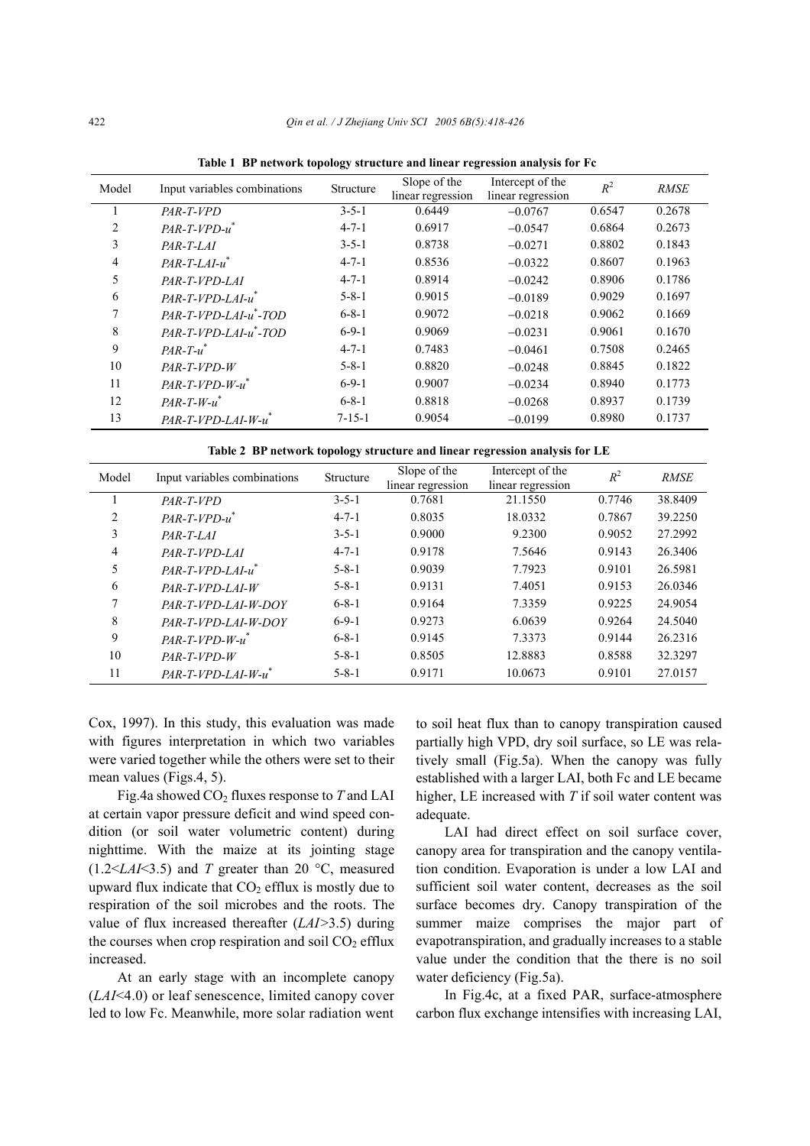| Model          | Input variables combinations        | Structure    | Slope of the<br>linear regression | Intercept of the<br>linear regression | $R^2$  | <b>RMSE</b> |
|----------------|-------------------------------------|--------------|-----------------------------------|---------------------------------------|--------|-------------|
| 1              | PAR-T-VPD                           | $3 - 5 - 1$  | 0.6449                            | $-0.0767$                             | 0.6547 | 0.2678      |
| 2              | $PAR$ -T- $VPD$ - $u^*$             | $4 - 7 - 1$  | 0.6917                            | $-0.0547$                             | 0.6864 | 0.2673      |
| 3              | $PAR-T-LAI$                         | $3 - 5 - 1$  | 0.8738                            | $-0.0271$                             | 0.8802 | 0.1843      |
| $\overline{4}$ | $PAR-T-LAI-u$                       | $4 - 7 - 1$  | 0.8536                            | $-0.0322$                             | 0.8607 | 0.1963      |
| 5              | $PAR-T-VPD-LAI$                     | $4 - 7 - 1$  | 0.8914                            | $-0.0242$                             | 0.8906 | 0.1786      |
| 6              | $PAR-T-VPD-LAI-u$                   | $5 - 8 - 1$  | 0.9015                            | $-0.0189$                             | 0.9029 | 0.1697      |
| 7              | $PAR-T-VPD-LAI-u$ <sup>*</sup> -TOD | $6 - 8 - 1$  | 0.9072                            | $-0.0218$                             | 0.9062 | 0.1669      |
| 8              | PAR-T-VPD-LAI-u*-TOD                | $6 - 9 - 1$  | 0.9069                            | $-0.0231$                             | 0.9061 | 0.1670      |
| 9              | $PAR-T-u$ <sup>*</sup>              | $4 - 7 - 1$  | 0.7483                            | $-0.0461$                             | 0.7508 | 0.2465      |
| 10             | $PAR-T-VPD-W$                       | $5 - 8 - 1$  | 0.8820                            | $-0.0248$                             | 0.8845 | 0.1822      |
| 11             | $PAR$ -T-VPD-W- $u^*$               | $6 - 9 - 1$  | 0.9007                            | $-0.0234$                             | 0.8940 | 0.1773      |
| 12             | $PAR-T-W-u$                         | $6 - 8 - 1$  | 0.8818                            | $-0.0268$                             | 0.8937 | 0.1739      |
| 13             | PAR-T-VPD-LAI-W-u                   | $7 - 15 - 1$ | 0.9054                            | $-0.0199$                             | 0.8980 | 0.1737      |

**Table 1 BP network topology structure and linear regression analysis for Fc**

**Table 2 BP network topology structure and linear regression analysis for LE**

| Model | Input variables combinations | Structure   | Slope of the<br>linear regression | Intercept of the<br>linear regression | $R^2$  | <b>RMSE</b> |
|-------|------------------------------|-------------|-----------------------------------|---------------------------------------|--------|-------------|
|       | $PAR-T-VPD$                  | $3 - 5 - 1$ | 0.7681                            | 21.1550                               | 0.7746 | 38.8409     |
| 2     | $PAR-T-VPD-u^*$              | $4 - 7 - 1$ | 0.8035                            | 18.0332                               | 0.7867 | 39.2250     |
| 3     | $PAR-T-LAI$                  | $3 - 5 - 1$ | 0.9000                            | 9.2300                                | 0.9052 | 27.2992     |
| 4     | PAR-T-VPD-LAI                | $4 - 7 - 1$ | 0.9178                            | 7.5646                                | 0.9143 | 26.3406     |
| 5     | $PAR-T-VPD-LAI-u^*$          | $5 - 8 - 1$ | 0.9039                            | 7.7923                                | 0.9101 | 26.5981     |
| 6     | $PAR$ -T-VPD-LAI-W           | $5 - 8 - 1$ | 0.9131                            | 7.4051                                | 0.9153 | 26.0346     |
|       | PAR-T-VPD-LAI-W-DOY          | $6 - 8 - 1$ | 0.9164                            | 7.3359                                | 0.9225 | 24.9054     |
| 8     | PAR-T-VPD-LAI-W-DOY          | $6 - 9 - 1$ | 0.9273                            | 6.0639                                | 0.9264 | 24.5040     |
| 9     | $PAR$ -T-VPD-W- $u^*$        | $6 - 8 - 1$ | 0.9145                            | 7.3373                                | 0.9144 | 26.2316     |
| 10    | $PAR-T-VPD-W$                | $5 - 8 - 1$ | 0.8505                            | 12.8883                               | 0.8588 | 32.3297     |
| 11    | $PAR$ -T-VPD-LAI-W- $u^*$    | $5 - 8 - 1$ | 0.9171                            | 10.0673                               | 0.9101 | 27.0157     |

Cox, 1997). In this study, this evaluation was made with figures interpretation in which two variables were varied together while the others were set to their mean values (Figs.4, 5).

Fig.4a showed CO2 fluxes response to *T* and LAI at certain vapor pressure deficit and wind speed condition (or soil water volumetric content) during nighttime. With the maize at its jointing stage (1.2<*LAI*<3.5) and *T* greater than 20 °C, measured upward flux indicate that  $CO<sub>2</sub>$  efflux is mostly due to respiration of the soil microbes and the roots. The value of flux increased thereafter (*LAI*>3.5) during the courses when crop respiration and soil  $CO<sub>2</sub>$  efflux increased.

At an early stage with an incomplete canopy (*LAI*<4.0) or leaf senescence, limited canopy cover led to low Fc. Meanwhile, more solar radiation went

to soil heat flux than to canopy transpiration caused partially high VPD, dry soil surface, so LE was relatively small (Fig.5a). When the canopy was fully established with a larger LAI, both Fc and LE became higher, LE increased with *T* if soil water content was adequate.

LAI had direct effect on soil surface cover, canopy area for transpiration and the canopy ventilation condition. Evaporation is under a low LAI and sufficient soil water content, decreases as the soil surface becomes dry. Canopy transpiration of the summer maize comprises the major part of evapotranspiration, and gradually increases to a stable value under the condition that the there is no soil water deficiency (Fig.5a).

In Fig.4c, at a fixed PAR, surface-atmosphere carbon flux exchange intensifies with increasing LAI,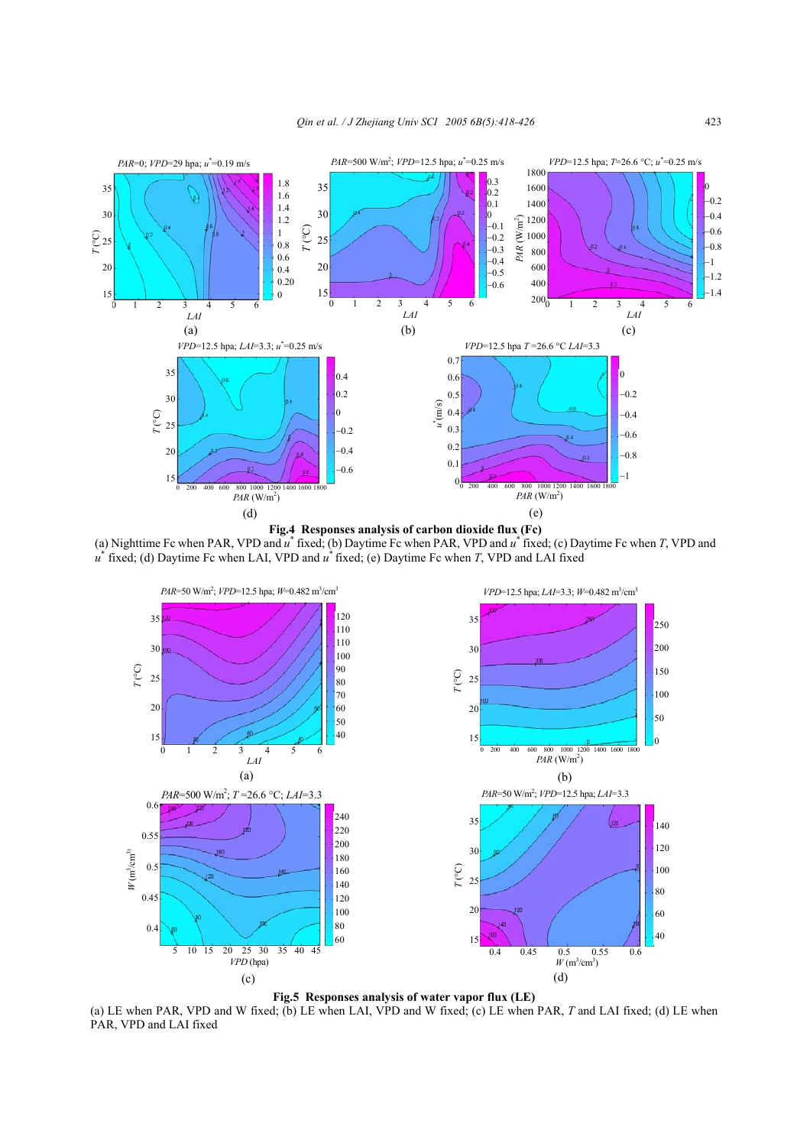

**Fig.4 Responses analysis of carbon dioxide flux (Fc)**  (a) Nighttime Fc when PAR, VPD and *u*\* fixed; (b) Daytime Fc when PAR, VPD and *u*\* fixed; (c) Daytime Fc when *T*, VPD and *u*\* fixed; (d) Daytime Fc when LAI, VPD and *u*\* fixed; (e) Daytime Fc when *T*, VPD and LAI fixed



(a) LE when PAR, VPD and W fixed; (b) LE when LAI, VPD and W fixed; (c) LE when PAR, *T* and LAI fixed; (d) LE when PAR, VPD and LAI fixed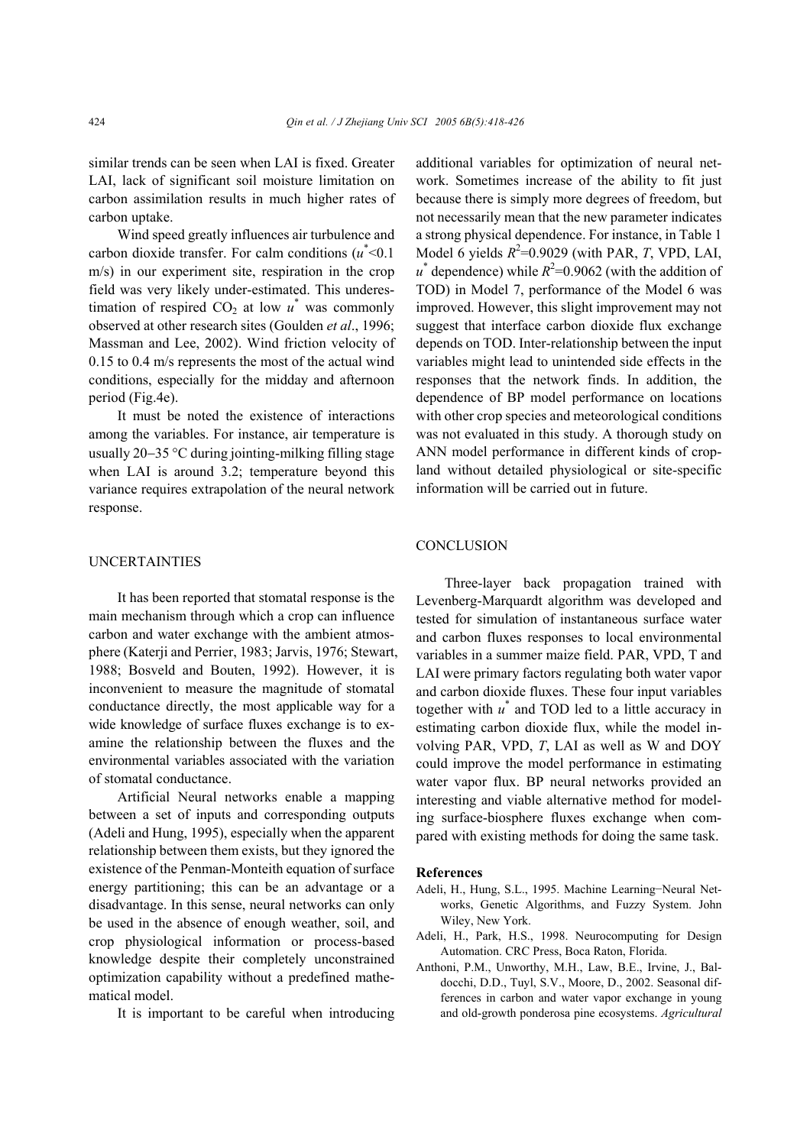similar trends can be seen when LAI is fixed. Greater LAI, lack of significant soil moisture limitation on carbon assimilation results in much higher rates of carbon uptake.

Wind speed greatly influences air turbulence and carbon dioxide transfer. For calm conditions  $(u^*<0.1)$ m/s) in our experiment site, respiration in the crop field was very likely under-estimated. This underestimation of respired  $CO<sub>2</sub>$  at low  $u^*$  was commonly observed at other research sites (Goulden *et al*., 1996; Massman and Lee, 2002). Wind friction velocity of 0.15 to 0.4 m/s represents the most of the actual wind conditions, especially for the midday and afternoon period (Fig.4e).

It must be noted the existence of interactions among the variables. For instance, air temperature is usually 20−35 °C during jointing-milking filling stage when LAI is around 3.2; temperature beyond this variance requires extrapolation of the neural network response.

## UNCERTAINTIES

It has been reported that stomatal response is the main mechanism through which a crop can influence carbon and water exchange with the ambient atmosphere (Katerji and Perrier, 1983; Jarvis, 1976; Stewart, 1988; Bosveld and Bouten, 1992). However, it is inconvenient to measure the magnitude of stomatal conductance directly, the most applicable way for a wide knowledge of surface fluxes exchange is to examine the relationship between the fluxes and the environmental variables associated with the variation of stomatal conductance.

Artificial Neural networks enable a mapping between a set of inputs and corresponding outputs (Adeli and Hung, 1995), especially when the apparent relationship between them exists, but they ignored the existence of the Penman-Monteith equation of surface energy partitioning; this can be an advantage or a disadvantage. In this sense, neural networks can only be used in the absence of enough weather, soil, and crop physiological information or process-based knowledge despite their completely unconstrained optimization capability without a predefined mathematical model.

It is important to be careful when introducing

additional variables for optimization of neural network. Sometimes increase of the ability to fit just because there is simply more degrees of freedom, but not necessarily mean that the new parameter indicates a strong physical dependence. For instance, in Table 1 Model 6 yields  $R^2$ =0.9029 (with PAR, *T*, VPD, LAI,  $u^*$  dependence) while  $R^2$ =0.9062 (with the addition of TOD) in Model 7, performance of the Model 6 was improved. However, this slight improvement may not suggest that interface carbon dioxide flux exchange depends on TOD. Inter-relationship between the input variables might lead to unintended side effects in the responses that the network finds. In addition, the dependence of BP model performance on locations with other crop species and meteorological conditions was not evaluated in this study. A thorough study on ANN model performance in different kinds of cropland without detailed physiological or site-specific information will be carried out in future.

## **CONCLUSION**

Three-layer back propagation trained with Levenberg-Marquardt algorithm was developed and tested for simulation of instantaneous surface water and carbon fluxes responses to local environmental variables in a summer maize field. PAR, VPD, T and LAI were primary factors regulating both water vapor and carbon dioxide fluxes. These four input variables together with *u*\* and TOD led to a little accuracy in estimating carbon dioxide flux, while the model involving PAR, VPD, *T*, LAI as well as W and DOY could improve the model performance in estimating water vapor flux. BP neural networks provided an interesting and viable alternative method for modeling surface-biosphere fluxes exchange when compared with existing methods for doing the same task.

#### **References**

- Adeli, H., Hung, S.L., 1995. Machine Learning−Neural Networks, Genetic Algorithms, and Fuzzy System. John Wiley, New York.
- Adeli, H., Park, H.S., 1998. Neurocomputing for Design Automation. CRC Press, Boca Raton, Florida.
- Anthoni, P.M., Unworthy, M.H., Law, B.E., Irvine, J., Baldocchi, D.D., Tuyl, S.V., Moore, D., 2002. Seasonal differences in carbon and water vapor exchange in young and old-growth ponderosa pine ecosystems. *Agricultural*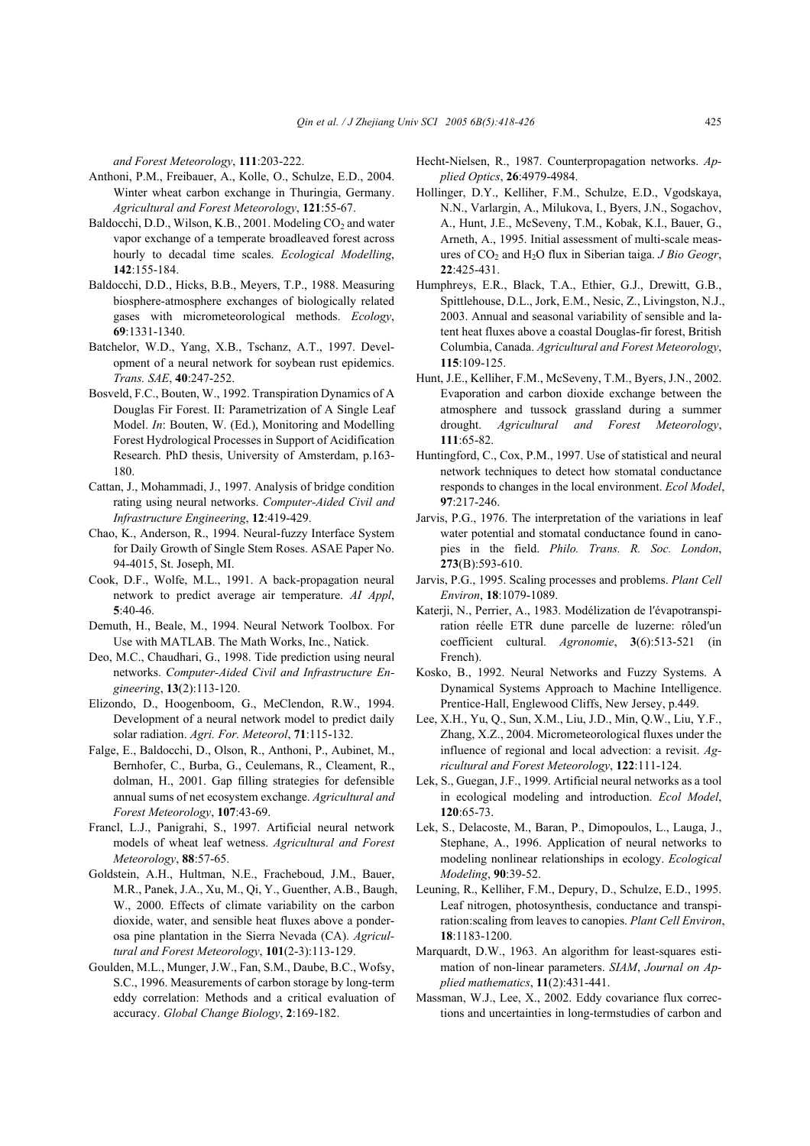*and Forest Meteorology*, **111**:203-222.

- Anthoni, P.M., Freibauer, A., Kolle, O., Schulze, E.D., 2004. Winter wheat carbon exchange in Thuringia, Germany. *Agricultural and Forest Meteorology*, **121**:55-67.
- Baldocchi, D.D., Wilson, K.B., 2001. Modeling  $CO<sub>2</sub>$  and water vapor exchange of a temperate broadleaved forest across hourly to decadal time scales. *Ecological Modelling*, **142**:155-184.
- Baldocchi, D.D., Hicks, B.B., Meyers, T.P., 1988. Measuring biosphere-atmosphere exchanges of biologically related gases with micrometeorological methods. *Ecology*, **69**:1331-1340.
- Batchelor, W.D., Yang, X.B., Tschanz, A.T., 1997. Development of a neural network for soybean rust epidemics. *Trans. SAE*, **40**:247-252.
- Bosveld, F.C., Bouten, W., 1992. Transpiration Dynamics of A Douglas Fir Forest. II: Parametrization of A Single Leaf Model. *In*: Bouten, W. (Ed.), Monitoring and Modelling Forest Hydrological Processes in Support of Acidification Research. PhD thesis, University of Amsterdam, p.163- 180.
- Cattan, J., Mohammadi, J., 1997. Analysis of bridge condition rating using neural networks. *Computer-Aided Civil and Infrastructure Engineering*, **12**:419-429.
- Chao, K., Anderson, R., 1994. Neural-fuzzy Interface System for Daily Growth of Single Stem Roses. ASAE Paper No. 94-4015, St. Joseph, MI.
- Cook, D.F., Wolfe, M.L., 1991. A back-propagation neural network to predict average air temperature. *AI Appl*, **5**:40-46.
- Demuth, H., Beale, M., 1994. Neural Network Toolbox. For Use with MATLAB. The Math Works, Inc., Natick.
- Deo, M.C., Chaudhari, G., 1998. Tide prediction using neural networks. *Computer-Aided Civil and Infrastructure Engineering*, **13**(2):113-120.
- Elizondo, D., Hoogenboom, G., MeClendon, R.W., 1994. Development of a neural network model to predict daily solar radiation. *Agri. For. Meteorol*, **71**:115-132.
- Falge, E., Baldocchi, D., Olson, R., Anthoni, P., Aubinet, M., Bernhofer, C., Burba, G., Ceulemans, R., Cleament, R., dolman, H., 2001. Gap filling strategies for defensible annual sums of net ecosystem exchange. *Agricultural and Forest Meteorology*, **107**:43-69.
- Francl, L.J., Panigrahi, S., 1997. Artificial neural network models of wheat leaf wetness. *Agricultural and Forest Meteorology*, **88**:57-65.
- Goldstein, A.H., Hultman, N.E., Fracheboud, J.M., Bauer, M.R., Panek, J.A., Xu, M., Qi, Y., Guenther, A.B., Baugh, W., 2000. Effects of climate variability on the carbon dioxide, water, and sensible heat fluxes above a ponderosa pine plantation in the Sierra Nevada (CA). *Agricultural and Forest Meteorology*, **101**(2-3):113-129.
- Goulden, M.L., Munger, J.W., Fan, S.M., Daube, B.C., Wofsy, S.C., 1996. Measurements of carbon storage by long-term eddy correlation: Methods and a critical evaluation of accuracy. *Global Change Biology*, **2**:169-182.
- Hecht-Nielsen, R., 1987. Counterpropagation networks. *Applied Optics*, **26**:4979-4984.
- Hollinger, D.Y., Kelliher, F.M., Schulze, E.D., Vgodskaya, N.N., Varlargin, A., Milukova, I., Byers, J.N., Sogachov, A., Hunt, J.E., McSeveny, T.M., Kobak, K.I., Bauer, G., Arneth, A., 1995. Initial assessment of multi-scale measures of  $CO<sub>2</sub>$  and  $H<sub>2</sub>O$  flux in Siberian taiga. *J Bio Geogr*, **22**:425-431.
- Humphreys, E.R., Black, T.A., Ethier, G.J., Drewitt, G.B., Spittlehouse, D.L., Jork, E.M., Nesic, Z., Livingston, N.J., 2003. Annual and seasonal variability of sensible and latent heat fluxes above a coastal Douglas-fir forest, British Columbia, Canada. *Agricultural and Forest Meteorology*, **115**:109-125.
- Hunt, J.E., Kelliher, F.M., McSeveny, T.M., Byers, J.N., 2002. Evaporation and carbon dioxide exchange between the atmosphere and tussock grassland during a summer drought. *Agricultural and Forest Meteorology*, **111**:65-82.
- Huntingford, C., Cox, P.M., 1997. Use of statistical and neural network techniques to detect how stomatal conductance responds to changes in the local environment. *Ecol Model*, **97**:217-246.
- Jarvis, P.G., 1976. The interpretation of the variations in leaf water potential and stomatal conductance found in canopies in the field. *Philo. Trans. R. Soc. London*, **273**(B):593-610.
- Jarvis, P.G., 1995. Scaling processes and problems. *Plant Cell Environ*, **18**:1079-1089.
- Katerji, N., Perrier, A., 1983. Modélization de l′évapotranspiration réelle ETR dune parcelle de luzerne: rôled′un coefficient cultural. *Agronomie*, **3**(6):513-521 (in French).
- Kosko, B., 1992. Neural Networks and Fuzzy Systems. A Dynamical Systems Approach to Machine Intelligence. Prentice-Hall, Englewood Cliffs, New Jersey, p.449.
- Lee, X.H., Yu, Q., Sun, X.M., Liu, J.D., Min, Q.W., Liu, Y.F., Zhang, X.Z., 2004. Micrometeorological fluxes under the influence of regional and local advection: a revisit. *Agricultural and Forest Meteorology*, **122**:111-124.
- Lek, S., Guegan, J.F., 1999. Artificial neural networks as a tool in ecological modeling and introduction. *Ecol Model*, **120**:65-73.
- Lek, S., Delacoste, M., Baran, P., Dimopoulos, L., Lauga, J., Stephane, A., 1996. Application of neural networks to modeling nonlinear relationships in ecology. *Ecological Modeling*, **90**:39-52.
- Leuning, R., Kelliher, F.M., Depury, D., Schulze, E.D., 1995. Leaf nitrogen, photosynthesis, conductance and transpiration:scaling from leaves to canopies. *Plant Cell Environ*, **18**:1183-1200.
- Marquardt, D.W., 1963. An algorithm for least-squares estimation of non-linear parameters. *SIAM*, *Journal on Applied mathematics*, **11**(2):431-441.
- Massman, W.J., Lee, X., 2002. Eddy covariance flux corrections and uncertainties in long-termstudies of carbon and